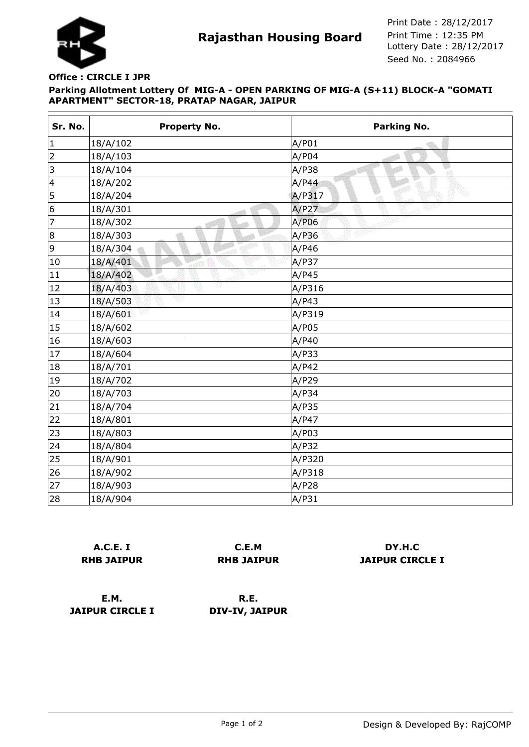

**Rajasthan Housing Board** Print Time : 12:35 PM<br>Lottery Date : 28/12/2017 Seed No. : 2084966 Print Date : 28/12/2017 Print Time : 12:35 PM

## **Parking Allotment Lottery Of MIG-A - OPEN PARKING OF MIG-A (S+11) BLOCK-A "GOMATI APARTMENT" SECTOR-18, PRATAP NAGAR, JAIPUR Office : CIRCLE I JPR**

| Sr. No. | <b>Property No.</b> | <b>Parking No.</b> |
|---------|---------------------|--------------------|
| 1       | 18/A/102            | A/P01              |
| 2       | 18/A/103            | A/P04              |
| 3       | 18/A/104            | w<br>A/P38<br>-at  |
| 4       | 18/A/202            | A/P44              |
| 5       | 18/A/204            | A/P317             |
| 6       | 18/A/301            | A/P27              |
| 7       | 18/A/302            | A/P06              |
| 8       | 18/A/303            | A/P36              |
| 9       | 18/A/304            | A/P46              |
| 10      | 18/A/401            | A/P37              |
| 11      | 18/A/402            | A/P45              |
| 12      | v<br>18/A/403       | A/P316             |
| 13      | 18/A/503            | A/P43              |
| 14      | 18/A/601            | A/P319             |
| 15      | 18/A/602            | A/P05              |
| 16      | 18/A/603            | A/P40              |
| 17      | 18/A/604            | A/P33              |
| 18      | 18/A/701            | A/P42              |
| 19      | 18/A/702            | A/P29              |
| 20      | 18/A/703            | A/P34              |
| 21      | 18/A/704            | A/P35              |
| 22      | 18/A/801            | A/P47              |
| 23      | 18/A/803            | A/P03              |
| 24      | 18/A/804            | A/P32              |
| 25      | 18/A/901            | A/P320             |
| 26      | 18/A/902            | A/P318             |
| 27      | 18/A/903            | A/P28              |
| 28      | 18/A/904            | A/P31              |

| A.C.E. I          |  |  |
|-------------------|--|--|
| <b>RHB JAIPUR</b> |  |  |

**C.E.M RHB JAIPUR**

**DY.H.C JAIPUR CIRCLE I**

**E.M. JAIPUR CIRCLE I**

**R.E. DIV-IV, JAIPUR**